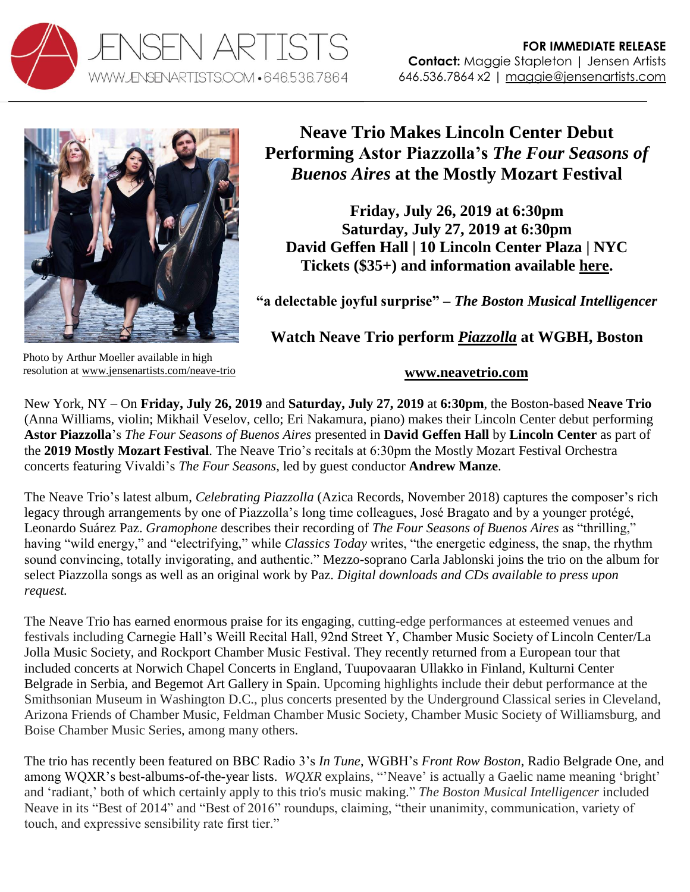



## **Neave Trio Makes Lincoln Center Debut Performing Astor Piazzolla's** *The Four Seasons of Buenos Aires* **at the Mostly Mozart Festival**

**Friday, July 26, 2019 at 6:30pm Saturday, July 27, 2019 at 6:30pm David Geffen Hall | 10 Lincoln Center Plaza | NYC Tickets (\$35+) and information available [here.](http://www.lincolncenter.org/mostly-mozart-festival/show/the-four-seasons)** 

**"a delectable joyful surprise" –** *The Boston Musical Intelligencer*

**Watch Neave Trio perform** *[Piazzolla](https://youtu.be/Xs3a6h4OV-E)* **at WGBH, Boston**

Photo by Arthur Moeller available in high resolution at [www.jensenartists.com/neave-trio](http://www.jensenartists.com/neave-trio)

## **[www.neavetrio.com](http://www.neavetrio.com/)**

New York, NY – On **Friday, July 26, 2019** and **Saturday, July 27, 2019** at **6:30pm**, the Boston-based **Neave Trio** (Anna Williams, violin; Mikhail Veselov, cello; Eri Nakamura, piano) makes their Lincoln Center debut performing **Astor Piazzolla**'s *The Four Seasons of Buenos Aires* presented in **David Geffen Hall** by **Lincoln Center** as part of the **2019 Mostly Mozart Festival**. The Neave Trio's recitals at 6:30pm the Mostly Mozart Festival Orchestra concerts featuring Vivaldi's *The Four Seasons*, led by guest conductor **Andrew Manze**.

The Neave Trio's latest album, *Celebrating Piazzolla* (Azica Records, November 2018) captures the composer's rich legacy through arrangements by one of Piazzolla's long time colleagues, José Bragato and by a younger protégé, Leonardo Suárez Paz. *Gramophone* describes their recording of *The Four Seasons of Buenos Aires* as "thrilling," having "wild energy," and "electrifying," while *Classics Today* writes, "the energetic edginess, the snap, the rhythm sound convincing, totally invigorating, and authentic." Mezzo-soprano Carla Jablonski joins the trio on the album for select Piazzolla songs as well as an original work by Paz. *Digital downloads and CDs available to press upon request.*

The Neave Trio has earned enormous praise for its engaging, cutting-edge performances at esteemed venues and festivals including Carnegie Hall's Weill Recital Hall, 92nd Street Y, Chamber Music Society of Lincoln Center/La Jolla Music Society, and Rockport Chamber Music Festival. They recently returned from a European tour that included concerts at Norwich Chapel Concerts in England, Tuupovaaran Ullakko in Finland, Kulturni Center Belgrade in Serbia, and Begemot Art Gallery in Spain. Upcoming highlights include their debut performance at the Smithsonian Museum in Washington D.C., plus concerts presented by the Underground Classical series in Cleveland, Arizona Friends of Chamber Music, Feldman Chamber Music Society, Chamber Music Society of Williamsburg, and Boise Chamber Music Series, among many others.

The trio has recently been featured on BBC Radio 3's *In Tune*, WGBH's *Front Row Boston*, Radio Belgrade One, and among WQXR's best-albums-of-the-year lists. *WQXR* explains, "'Neave' is actually a Gaelic name meaning 'bright' and 'radiant,' both of which certainly apply to this trio's music making." *The Boston Musical Intelligencer* included Neave in its "Best of 2014" and "Best of 2016" roundups, claiming, "their unanimity, communication, variety of touch, and expressive sensibility rate first tier."